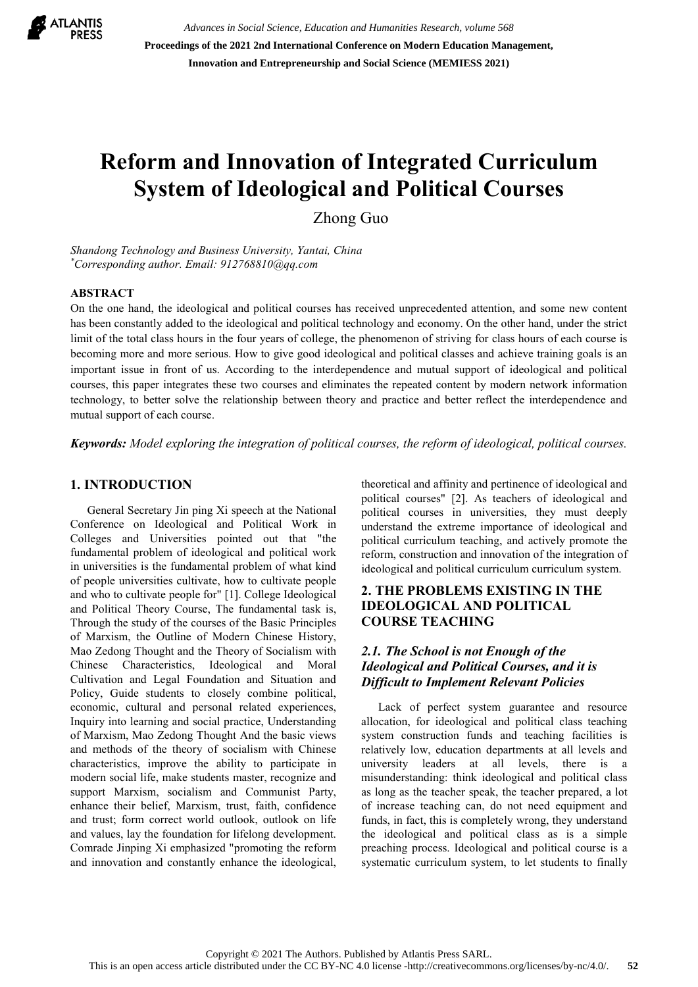

*Advances in Social Science, Education and Humanities Research, volume 568* **Proceedings of the 2021 2nd International Conference on Modern Education Management, Innovation and Entrepreneurship and Social Science (MEMIESS 2021)**

# **Reform and Innovation of Integrated Curriculum System of Ideological and Political Courses**

Zhong Guo

*Shandong Technology and Business University, Yantai, China \* Corresponding author. Email: 912768810@qq.com*

#### **ABSTRACT**

On the one hand, the ideological and political courses has received unprecedented attention, and some new content has been constantly added to the ideological and political technology and economy. On the other hand, under the strict limit of the total class hours in the four years of college, the phenomenon of striving for class hours of each course is becoming more and more serious. How to give good ideological and political classes and achieve training goals is an important issue in front of us. According to the interdependence and mutual support of ideological and political courses, this paper integrates these two courses and eliminates the repeated content by modern network information technology, to better solve the relationship between theory and practice and better reflect the interdependence and mutual support of each course.

*Keywords: Model exploring the integration of political courses, the reform of ideological, political courses.*

#### **1. INTRODUCTION**

General Secretary Jin ping Xi speech at the National Conference on Ideological and Political Work in Colleges and Universities pointed out that "the fundamental problem of ideological and political work in universities is the fundamental problem of what kind of people universities cultivate, how to cultivate people and who to cultivate people for" [1]. College Ideological and Political Theory Course, The fundamental task is, Through the study of the courses of the Basic Principles of Marxism, the Outline of Modern Chinese History, Mao Zedong Thought and the Theory of Socialism with Chinese Characteristics, Ideological and Moral Cultivation and Legal Foundation and Situation and Policy, Guide students to closely combine political, economic, cultural and personal related experiences, Inquiry into learning and social practice, Understanding of Marxism, Mao Zedong Thought And the basic views and methods of the theory of socialism with Chinese characteristics, improve the ability to participate in modern social life, make students master, recognize and support Marxism, socialism and Communist Party, enhance their belief, Marxism, trust, faith, confidence and trust; form correct world outlook, outlook on life and values, lay the foundation for lifelong development. Comrade Jinping Xi emphasized "promoting the reform and innovation and constantly enhance the ideological, theoretical and affinity and pertinence of ideological and political courses" [2]. As teachers of ideological and political courses in universities, they must deeply understand the extreme importance of ideological and political curriculum teaching, and actively promote the reform, construction and innovation of the integration of ideological and political curriculum curriculum system.

# **2. THE PROBLEMS EXISTING IN THE IDEOLOGICAL AND POLITICAL COURSE TEACHING**

# *2.1. The School is not Enough of the Ideological and Political Courses, and it is Difficult to Implement Relevant Policies*

Lack of perfect system guarantee and resource allocation, for ideological and political class teaching system construction funds and teaching facilities is relatively low, education departments at all levels and university leaders at all levels, there is a misunderstanding: think ideological and political class as long as the teacher speak, the teacher prepared, a lot of increase teaching can, do not need equipment and funds, in fact, this is completely wrong, they understand the ideological and political class as is a simple preaching process. Ideological and political course is a systematic curriculum system, to let students to finally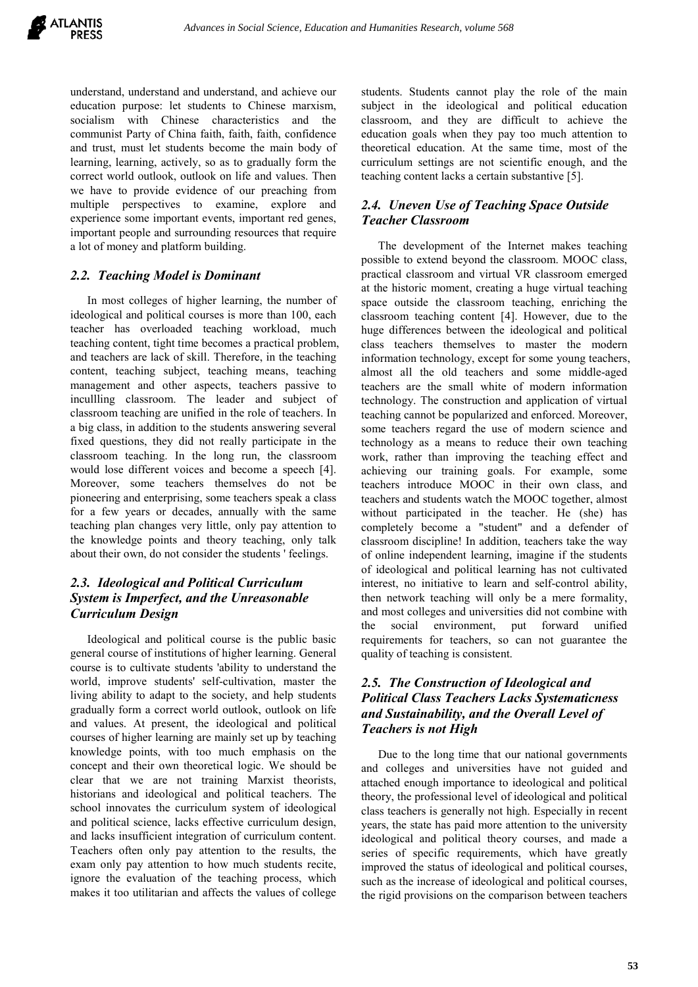understand, understand and understand, and achieve our education purpose: let students to Chinese marxism, socialism with Chinese characteristics and the communist Party of China faith, faith, faith, confidence and trust, must let students become the main body of learning, learning, actively, so as to gradually form the correct world outlook, outlook on life and values. Then we have to provide evidence of our preaching from multiple perspectives to examine, explore and experience some important events, important red genes, important people and surrounding resources that require a lot of money and platform building.

# *2.2. Teaching Model is Dominant*

In most colleges of higher learning, the number of ideological and political courses is more than 100, each teacher has overloaded teaching workload, much teaching content, tight time becomes a practical problem, and teachers are lack of skill. Therefore, in the teaching content, teaching subject, teaching means, teaching management and other aspects, teachers passive to incullling classroom. The leader and subject of classroom teaching are unified in the role of teachers. In a big class, in addition to the students answering several fixed questions, they did not really participate in the classroom teaching. In the long run, the classroom would lose different voices and become a speech [4]. Moreover, some teachers themselves do not be pioneering and enterprising, some teachers speak a class for a few years or decades, annually with the same teaching plan changes very little, only pay attention to the knowledge points and theory teaching, only talk about their own, do not consider the students ' feelings.

# *2.3. Ideological and Political Curriculum System is Imperfect, and the Unreasonable Curriculum Design*

Ideological and political course is the public basic general course of institutions of higher learning. General course is to cultivate students 'ability to understand the world, improve students' self-cultivation, master the living ability to adapt to the society, and help students gradually form a correct world outlook, outlook on life and values. At present, the ideological and political courses of higher learning are mainly set up by teaching knowledge points, with too much emphasis on the concept and their own theoretical logic. We should be clear that we are not training Marxist theorists, historians and ideological and political teachers. The school innovates the curriculum system of ideological and political science, lacks effective curriculum design, and lacks insufficient integration of curriculum content. Teachers often only pay attention to the results, the exam only pay attention to how much students recite, ignore the evaluation of the teaching process, which makes it too utilitarian and affects the values of college students. Students cannot play the role of the main subject in the ideological and political education classroom, and they are difficult to achieve the education goals when they pay too much attention to theoretical education. At the same time, most of the curriculum settings are not scientific enough, and the teaching content lacks a certain substantive [5].

# *2.4. Uneven Use of Teaching Space Outside Teacher Classroom*

The development of the Internet makes teaching possible to extend beyond the classroom. MOOC class, practical classroom and virtual VR classroom emerged at the historic moment, creating a huge virtual teaching space outside the classroom teaching, enriching the classroom teaching content [4]. However, due to the huge differences between the ideological and political class teachers themselves to master the modern information technology, except for some young teachers, almost all the old teachers and some middle-aged teachers are the small white of modern information technology. The construction and application of virtual teaching cannot be popularized and enforced. Moreover, some teachers regard the use of modern science and technology as a means to reduce their own teaching work, rather than improving the teaching effect and achieving our training goals. For example, some teachers introduce MOOC in their own class, and teachers and students watch the MOOC together, almost without participated in the teacher. He (she) has completely become a "student" and a defender of classroom discipline! In addition, teachers take the way of online independent learning, imagine if the students of ideological and political learning has not cultivated interest, no initiative to learn and self-control ability, then network teaching will only be a mere formality, and most colleges and universities did not combine with the social environment, put forward unified requirements for teachers, so can not guarantee the quality of teaching is consistent.

# *2.5. The Construction of Ideological and Political Class Teachers Lacks Systematicness and Sustainability, and the Overall Level of Teachers is not High*

Due to the long time that our national governments and colleges and universities have not guided and attached enough importance to ideological and political theory, the professional level of ideological and political class teachers is generally not high. Especially in recent years, the state has paid more attention to the university ideological and political theory courses, and made a series of specific requirements, which have greatly improved the status of ideological and political courses, such as the increase of ideological and political courses, the rigid provisions on the comparison between teachers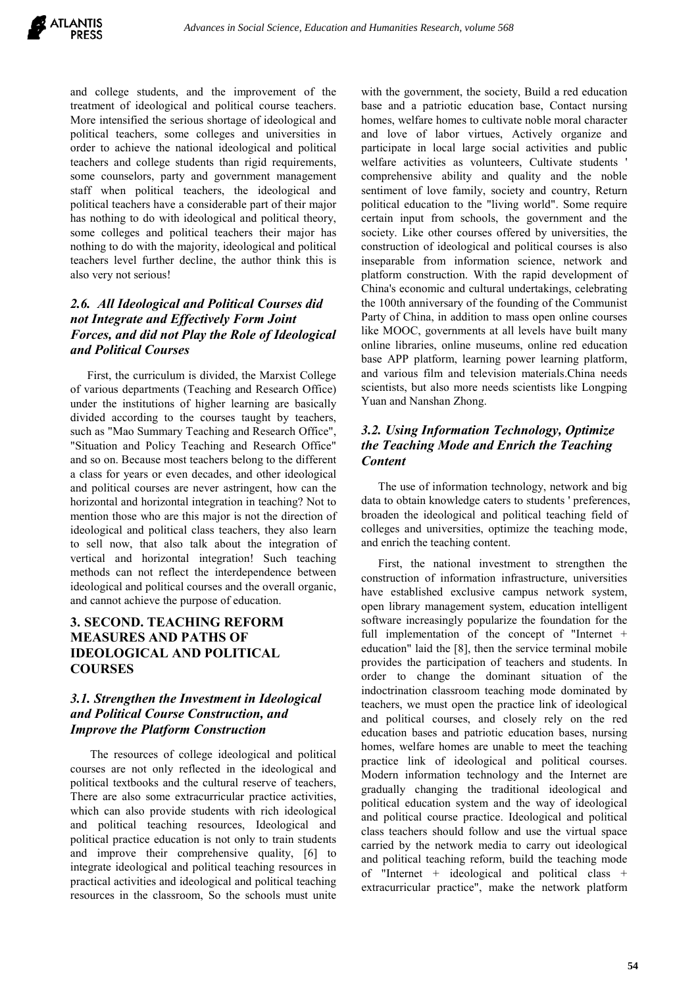and college students, and the improvement of the treatment of ideological and political course teachers. More intensified the serious shortage of ideological and political teachers, some colleges and universities in order to achieve the national ideological and political teachers and college students than rigid requirements, some counselors, party and government management staff when political teachers, the ideological and political teachers have a considerable part of their major has nothing to do with ideological and political theory, some colleges and political teachers their major has nothing to do with the majority, ideological and political teachers level further decline, the author think this is also very not serious!

# *2.6. All Ideological and Political Courses did not Integrate and Effectively Form Joint Forces, and did not Play the Role of Ideological and Political Courses*

First, the curriculum is divided, the Marxist College of various departments (Teaching and Research Office) under the institutions of higher learning are basically divided according to the courses taught by teachers, such as "Mao Summary Teaching and Research Office", "Situation and Policy Teaching and Research Office" and so on. Because most teachers belong to the different a class for years or even decades, and other ideological and political courses are never astringent, how can the horizontal and horizontal integration in teaching? Not to mention those who are this major is not the direction of ideological and political class teachers, they also learn to sell now, that also talk about the integration of vertical and horizontal integration! Such teaching methods can not reflect the interdependence between ideological and political courses and the overall organic, and cannot achieve the purpose of education.

# **3. SECOND. TEACHING REFORM MEASURES AND PATHS OF IDEOLOGICAL AND POLITICAL COURSES**

## *3.1. Strengthen the Investment in Ideological and Political Course Construction, and Improve the Platform Construction*

The resources of college ideological and political courses are not only reflected in the ideological and political textbooks and the cultural reserve of teachers, There are also some extracurricular practice activities, which can also provide students with rich ideological and political teaching resources, Ideological and political practice education is not only to train students and improve their comprehensive quality, [6] to integrate ideological and political teaching resources in practical activities and ideological and political teaching resources in the classroom, So the schools must unite with the government, the society, Build a red education base and a patriotic education base, Contact nursing homes, welfare homes to cultivate noble moral character and love of labor virtues, Actively organize and participate in local large social activities and public welfare activities as volunteers, Cultivate students ' comprehensive ability and quality and the noble sentiment of love family, society and country, Return political education to the "living world". Some require certain input from schools, the government and the society. Like other courses offered by universities, the construction of ideological and political courses is also inseparable from information science, network and platform construction. With the rapid development of China's economic and cultural undertakings, celebrating the 100th anniversary of the founding of the Communist Party of China, in addition to mass open online courses like MOOC, governments at all levels have built many online libraries, online museums, online red education base APP platform, learning power learning platform, and various film and television materials.China needs scientists, but also more needs scientists like Longping Yuan and Nanshan Zhong.

# *3.2. Using Information Technology, Optimize the Teaching Mode and Enrich the Teaching Content*

The use of information technology, network and big data to obtain knowledge caters to students ' preferences, broaden the ideological and political teaching field of colleges and universities, optimize the teaching mode, and enrich the teaching content.

First, the national investment to strengthen the construction of information infrastructure, universities have established exclusive campus network system, open library management system, education intelligent software increasingly popularize the foundation for the full implementation of the concept of "Internet + education" laid the [8], then the service terminal mobile provides the participation of teachers and students. In order to change the dominant situation of the indoctrination classroom teaching mode dominated by teachers, we must open the practice link of ideological and political courses, and closely rely on the red education bases and patriotic education bases, nursing homes, welfare homes are unable to meet the teaching practice link of ideological and political courses. Modern information technology and the Internet are gradually changing the traditional ideological and political education system and the way of ideological and political course practice. Ideological and political class teachers should follow and use the virtual space carried by the network media to carry out ideological and political teaching reform, build the teaching mode of "Internet + ideological and political class + extracurricular practice", make the network platform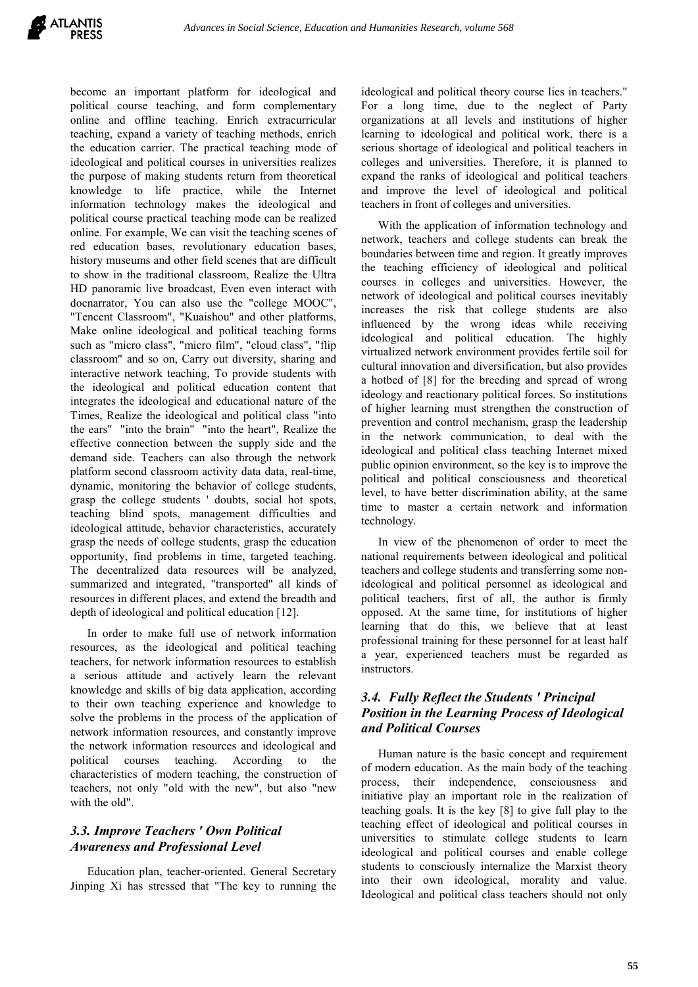

become an important platform for ideological and political course teaching, and form complementary online and offline teaching. Enrich extracurricular teaching, expand a variety of teaching methods, enrich the education carrier. The practical teaching mode of ideological and political courses in universities realizes the purpose of making students return from theoretical knowledge to life practice, while the Internet information technology makes the ideological and political course practical teaching mode can be realized online. For example, We can visit the teaching scenes of red education bases, revolutionary education bases, history museums and other field scenes that are difficult to show in the traditional classroom, Realize the Ultra HD panoramic live broadcast, Even even interact with docnarrator, You can also use the "college MOOC", "Tencent Classroom", "Kuaishou" and other platforms, Make online ideological and political teaching forms such as "micro class", "micro film", "cloud class", "flip classroom" and so on, Carry out diversity, sharing and interactive network teaching, To provide students with the ideological and political education content that integrates the ideological and educational nature of the Times, Realize the ideological and political class "into the ears" "into the brain" "into the heart", Realize the effective connection between the supply side and the demand side. Teachers can also through the network platform second classroom activity data data, real-time, dynamic, monitoring the behavior of college students, grasp the college students ' doubts, social hot spots, teaching blind spots, management difficulties and ideological attitude, behavior characteristics, accurately grasp the needs of college students, grasp the education opportunity, find problems in time, targeted teaching. The decentralized data resources will be analyzed, summarized and integrated, "transported" all kinds of resources in different places, and extend the breadth and depth of ideological and political education [12].

In order to make full use of network information resources, as the ideological and political teaching teachers, for network information resources to establish a serious attitude and actively learn the relevant knowledge and skills of big data application, according to their own teaching experience and knowledge to solve the problems in the process of the application of network information resources, and constantly improve the network information resources and ideological and political courses teaching. According to the characteristics of modern teaching, the construction of teachers, not only "old with the new", but also "new with the old".

# *3.3. Improve Teachers ' Own Political Awareness and Professional Level*

Education plan, teacher-oriented. General Secretary Jinping Xi has stressed that "The key to running the ideological and political theory course lies in teachers." For a long time, due to the neglect of Party organizations at all levels and institutions of higher learning to ideological and political work, there is a serious shortage of ideological and political teachers in colleges and universities. Therefore, it is planned to expand the ranks of ideological and political teachers and improve the level of ideological and political teachers in front of colleges and universities.

With the application of information technology and network, teachers and college students can break the boundaries between time and region. It greatly improves the teaching efficiency of ideological and political courses in colleges and universities. However, the network of ideological and political courses inevitably increases the risk that college students are also influenced by the wrong ideas while receiving ideological and political education. The highly virtualized network environment provides fertile soil for cultural innovation and diversification, but also provides a hotbed of [8] for the breeding and spread of wrong ideology and reactionary political forces. So institutions of higher learning must strengthen the construction of prevention and control mechanism, grasp the leadership in the network communication, to deal with the ideological and political class teaching Internet mixed public opinion environment, so the key is to improve the political and political consciousness and theoretical level, to have better discrimination ability, at the same time to master a certain network and information technology.

In view of the phenomenon of order to meet the national requirements between ideological and political teachers and college students and transferring some nonideological and political personnel as ideological and political teachers, first of all, the author is firmly opposed. At the same time, for institutions of higher learning that do this, we believe that at least professional training for these personnel for at least half a year, experienced teachers must be regarded as instructors.

## *3.4. Fully Reflect the Students ' Principal Position in the Learning Process of Ideological and Political Courses*

Human nature is the basic concept and requirement of modern education. As the main body of the teaching process, their independence, consciousness and initiative play an important role in the realization of teaching goals. It is the key [8] to give full play to the teaching effect of ideological and political courses in universities to stimulate college students to learn ideological and political courses and enable college students to consciously internalize the Marxist theory into their own ideological, morality and value. Ideological and political class teachers should not only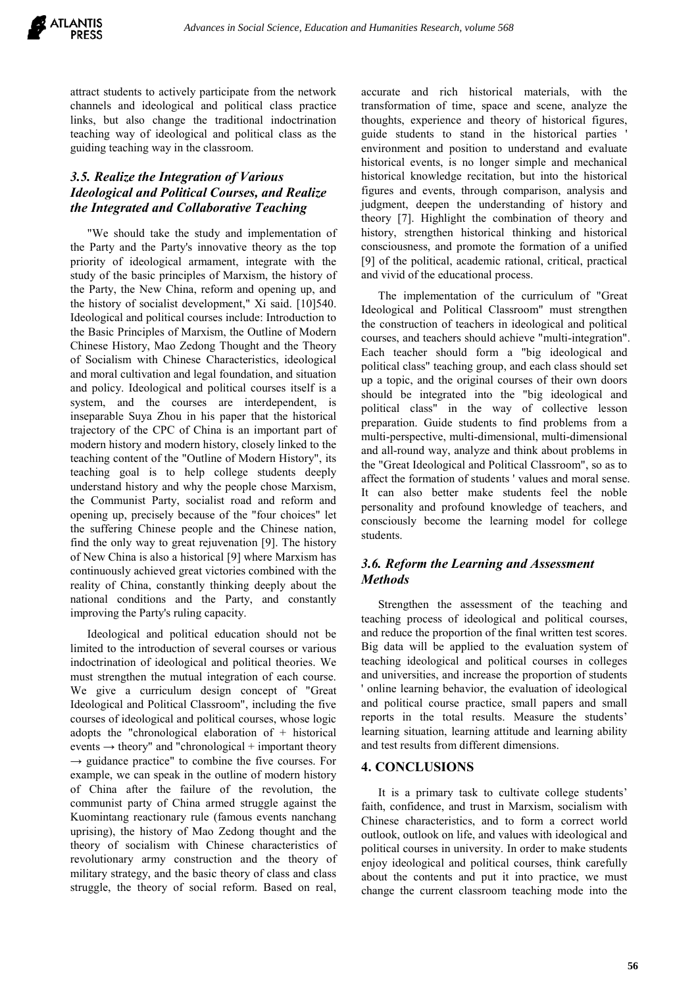

attract students to actively participate from the network channels and ideological and political class practice links, but also change the traditional indoctrination teaching way of ideological and political class as the guiding teaching way in the classroom.

# *3.5. Realize the Integration of Various Ideological and Political Courses, and Realize the Integrated and Collaborative Teaching*

"We should take the study and implementation of the Party and the Party's innovative theory as the top priority of ideological armament, integrate with the study of the basic principles of Marxism, the history of the Party, the New China, reform and opening up, and the history of socialist development," Xi said. [10]540. Ideological and political courses include: Introduction to the Basic Principles of Marxism, the Outline of Modern Chinese History, Mao Zedong Thought and the Theory of Socialism with Chinese Characteristics, ideological and moral cultivation and legal foundation, and situation and policy. Ideological and political courses itself is a system, and the courses are interdependent, is inseparable Suya Zhou in his paper that the historical trajectory of the CPC of China is an important part of modern history and modern history, closely linked to the teaching content of the "Outline of Modern History", its teaching goal is to help college students deeply understand history and why the people chose Marxism, the Communist Party, socialist road and reform and opening up, precisely because of the "four choices" let the suffering Chinese people and the Chinese nation, find the only way to great rejuvenation [9]. The history of New China is also a historical [9] where Marxism has continuously achieved great victories combined with the reality of China, constantly thinking deeply about the national conditions and the Party, and constantly improving the Party's ruling capacity.

Ideological and political education should not be limited to the introduction of several courses or various indoctrination of ideological and political theories. We must strengthen the mutual integration of each course. We give a curriculum design concept of "Great Ideological and Political Classroom", including the five courses of ideological and political courses, whose logic adopts the "chronological elaboration of + historical events  $\rightarrow$  theory" and "chronological + important theory  $\rightarrow$  guidance practice" to combine the five courses. For example, we can speak in the outline of modern history of China after the failure of the revolution, the communist party of China armed struggle against the Kuomintang reactionary rule (famous events nanchang uprising), the history of Mao Zedong thought and the theory of socialism with Chinese characteristics of revolutionary army construction and the theory of military strategy, and the basic theory of class and class struggle, the theory of social reform. Based on real,

accurate and rich historical materials, with the transformation of time, space and scene, analyze the thoughts, experience and theory of historical figures, guide students to stand in the historical parties ' environment and position to understand and evaluate historical events, is no longer simple and mechanical historical knowledge recitation, but into the historical figures and events, through comparison, analysis and judgment, deepen the understanding of history and theory [7]. Highlight the combination of theory and history, strengthen historical thinking and historical consciousness, and promote the formation of a unified [9] of the political, academic rational, critical, practical and vivid of the educational process.

The implementation of the curriculum of "Great Ideological and Political Classroom" must strengthen the construction of teachers in ideological and political courses, and teachers should achieve "multi-integration". Each teacher should form a "big ideological and political class" teaching group, and each class should set up a topic, and the original courses of their own doors should be integrated into the "big ideological and political class" in the way of collective lesson preparation. Guide students to find problems from a multi-perspective, multi-dimensional, multi-dimensional and all-round way, analyze and think about problems in the "Great Ideological and Political Classroom", so as to affect the formation of students ' values and moral sense. It can also better make students feel the noble personality and profound knowledge of teachers, and consciously become the learning model for college students.

# *3.6. Reform the Learning and Assessment Methods*

Strengthen the assessment of the teaching and teaching process of ideological and political courses, and reduce the proportion of the final written test scores. Big data will be applied to the evaluation system of teaching ideological and political courses in colleges and universities, and increase the proportion of students ' online learning behavior, the evaluation of ideological and political course practice, small papers and small reports in the total results. Measure the students' learning situation, learning attitude and learning ability and test results from different dimensions.

#### **4. CONCLUSIONS**

It is a primary task to cultivate college students' faith, confidence, and trust in Marxism, socialism with Chinese characteristics, and to form a correct world outlook, outlook on life, and values with ideological and political courses in university. In order to make students enjoy ideological and political courses, think carefully about the contents and put it into practice, we must change the current classroom teaching mode into the